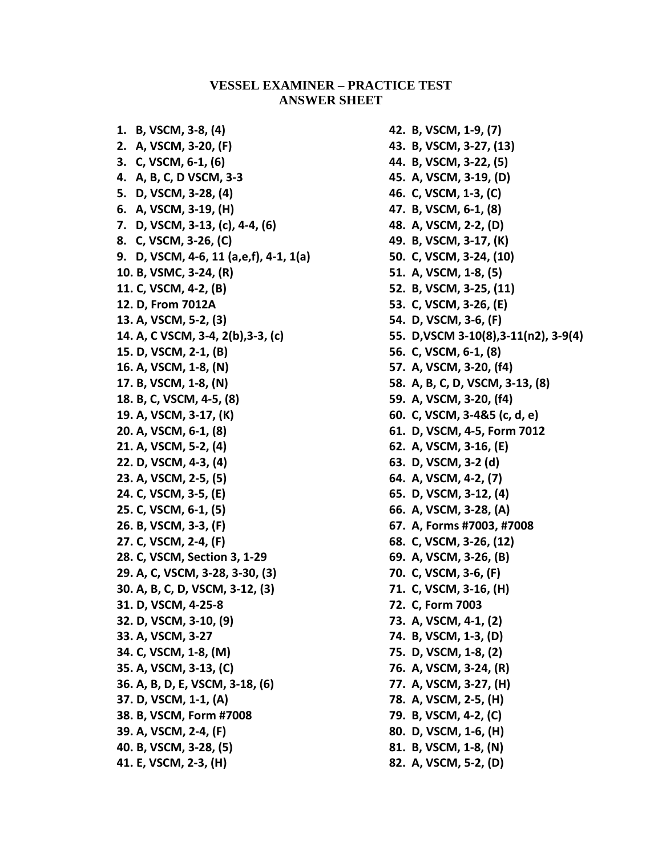## **VESSEL EXAMINER – PRACTICE TEST ANSWER SHEET**

**1. B, VSCM, 3-8, (4) 2. A, VSCM, 3-20, (F) 3. C, VSCM, 6-1, (6) 4. A, B, C, D VSCM, 3-3 5. D, VSCM, 3-28, (4) 6. A, VSCM, 3-19, (H) 7. D, VSCM, 3-13, (c), 4-4, (6) 8. C, VSCM, 3-26, (C) 9. D, VSCM, 4-6, 11 (a,e,f), 4-1, 1(a) 10. B, VSMC, 3-24, (R) 11. C, VSCM, 4-2, (B) 12. D, From 7012A 13. A, VSCM, 5-2, (3) 14. A, C VSCM, 3-4, 2(b),3-3, (c) 15. D, VSCM, 2-1, (B) 16. A, VSCM, 1-8, (N) 17. B, VSCM, 1-8, (N) 18. B, C, VSCM, 4-5, (8) 19. A, VSCM, 3-17, (K) 20. A, VSCM, 6-1, (8) 21. A, VSCM, 5-2, (4) 22. D, VSCM, 4-3, (4) 23. A, VSCM, 2-5, (5) 24. C, VSCM, 3-5, (E) 25. C, VSCM, 6-1, (5) 26. B, VSCM, 3-3, (F) 27. C, VSCM, 2-4, (F) 28. C, VSCM, Section 3, 1-29 29. A, C, VSCM, 3-28, 3-30, (3) 30. A, B, C, D, VSCM, 3-12, (3) 31. D, VSCM, 4-25-8 32. D, VSCM, 3-10, (9) 33. A, VSCM, 3-27 34. C, VSCM, 1-8, (M) 35. A, VSCM, 3-13, (C) 36. A, B, D, E, VSCM, 3-18, (6) 37. D, VSCM, 1-1, (A) 38. B, VSCM, Form #7008 39. A, VSCM, 2-4, (F) 40. B, VSCM, 3-28, (5) 41. E, VSCM, 2-3, (H)**

**42. B, VSCM, 1-9, (7) 43. B, VSCM, 3-27, (13) 44. B, VSCM, 3-22, (5) 45. A, VSCM, 3-19, (D) 46. C, VSCM, 1-3, (C) 47. B, VSCM, 6-1, (8) 48. A, VSCM, 2-2, (D) 49. B, VSCM, 3-17, (K) 50. C, VSCM, 3-24, (10) 51. A, VSCM, 1-8, (5) 52. B, VSCM, 3-25, (11) 53. C, VSCM, 3-26, (E) 54. D, VSCM, 3-6, (F) 55. D,VSCM 3-10(8),3-11(n2), 3-9(4) 56. C, VSCM, 6-1, (8) 57. A, VSCM, 3-20, (f4) 58. A, B, C, D, VSCM, 3-13, (8) 59. A, VSCM, 3-20, (f4) 60. C, VSCM, 3-4&5 (c, d, e) 61. D, VSCM, 4-5, Form 7012 62. A, VSCM, 3-16, (E) 63. D, VSCM, 3-2 (d) 64. A, VSCM, 4-2, (7) 65. D, VSCM, 3-12, (4) 66. A, VSCM, 3-28, (A) 67. A, Forms #7003, #7008 68. C, VSCM, 3-26, (12) 69. A, VSCM, 3-26, (B) 70. C, VSCM, 3-6, (F) 71. C, VSCM, 3-16, (H) 72. C, Form 7003 73. A, VSCM, 4-1, (2) 74. B, VSCM, 1-3, (D) 75. D, VSCM, 1-8, (2) 76. A, VSCM, 3-24, (R) 77. A, VSCM, 3-27, (H) 78. A, VSCM, 2-5, (H) 79. B, VSCM, 4-2, (C) 80. D, VSCM, 1-6, (H) 81. B, VSCM, 1-8, (N) 82. A, VSCM, 5-2, (D)**